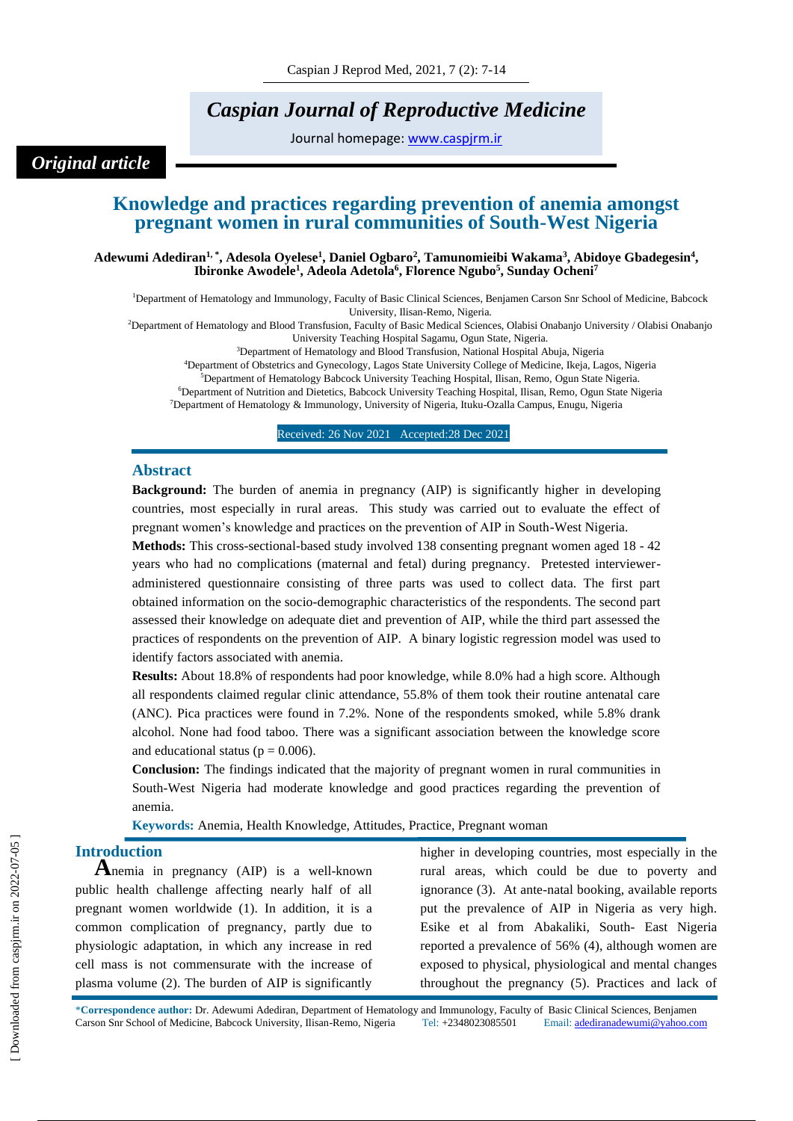# *Caspian Journal of Reproductive Medicine*

Journal homepage: [www.caspjrm.ir](http://www.caspjrm.ir/)

## *Original article*

## **Knowledge and practices regarding prevention of anemia amongst pregnant women in rural communities of South-West Nigeria**

**Adewumi Adediran1, \* , Adesola Oyelese<sup>1</sup> , Daniel Ogbaro<sup>2</sup> , Tamunomieibi Wakama<sup>3</sup> , Abidoye Gbadegesin<sup>4</sup> , Ibironke Awodele<sup>1</sup> , Adeola Adetola<sup>6</sup> , Florence Ngubo<sup>5</sup> , Sunday Ocheni<sup>7</sup>**

<sup>1</sup>Department of Hematology and Immunology, Faculty of Basic Clinical Sciences, Benjamen Carson Snr School of Medicine, Babcock University, Ilisan-Remo, Nigeria.

<sup>2</sup>Department of Hematology and Blood Transfusion, Faculty of Basic Medical Sciences, Olabisi Onabanjo University / Olabisi Onabanjo

University Teaching Hospital Sagamu, Ogun State, Nigeria.

<sup>3</sup>Department of Hematology and Blood Transfusion, National Hospital Abuja, Nigeria <sup>4</sup>Department of Obstetrics and Gynecology, Lagos State University College of Medicine, Ikeja, Lagos, Nigeria

<sup>5</sup>Department of Hematology Babcock University Teaching Hospital, Ilisan, Remo, Ogun State Nigeria.

<sup>6</sup>Department of Nutrition and Dietetics, Babcock University Teaching Hospital, Ilisan, Remo, Ogun State Nigeria

<sup>7</sup>Department of Hematology & Immunology, University of Nigeria, Ituku-Ozalla Campus, Enugu, Nigeria

Received: 26 Nov 2021 Accepted: 28 Dec 2021

#### **Abstract**

**Background:** The burden of anemia in pregnancy (AIP) is significantly higher in developing countries, most especially in rural areas. This study was carried out to evaluate the effect of pregnant women's knowledge and practices on the prevention of AIP in South-West Nigeria.

**Methods:** This cross-sectional-based study involved 138 consenting pregnant women aged 18 - 42 years who had no complications (maternal and fetal) during pregnancy. Pretested intervieweradministered questionnaire consisting of three parts was used to collect data. The first part obtained information on the socio-demographic characteristics of the respondents. The second part assessed their knowledge on adequate diet and prevention of AIP, while the third part assessed the practices of respondents on the prevention of AIP. A binary logistic regression model was used to identify factors associated with anemia.

**Results:** About 18.8% of respondents had poor knowledge, while 8.0% had a high score. Although all respondents claimed regular clinic attendance, 55.8% of them took their routine antenatal care (ANC). Pica practices were found in 7.2%. None of the respondents smoked, while 5.8% drank alcohol. None had food taboo. There was a significant association between the knowledge score and educational status ( $p = 0.006$ ).

**Conclusion:** The findings indicated that the majority of pregnant women in rural communities in South-West Nigeria had moderate knowledge and good practices regarding the prevention of anemia.

**Keywords:** Anemia, Health Knowledge, Attitudes, Practice, Pregnant woman

## **Introduction**

**A**nemia in pregnancy (AIP) is a well-known public health challenge affecting nearly half of all pregnant women worldwide (1). In addition, it is a common complication of pregnancy, partly due to physiologic adaptation, in which any increase in red cell mass is not commensurate with the increase of plasma volume (2). The burden of AIP is significantly

higher in developing countries, most especially in the rural areas, which could be due to poverty and ignorance (3). At ante-natal booking, available reports put the prevalence of AIP in Nigeria as very high. Esike et al from Abakaliki, South- East Nigeria reported a prevalence of 56% (4), although women are exposed to physical, physiological and mental changes throughout the pregnancy (5). Practices and lack of

\***Correspondence author:** Dr. Adewumi Adediran, Department of Hematology and Immunology, Faculty of Basic Clinical Sciences, Benjamen Carson Snr School of Medicine, Babcock University, Ilisan-Remo, Nigeria Tel: +2348023085501 Email[: adediranadewumi@yahoo.com](mailto:adediranadewumi@yahoo.com)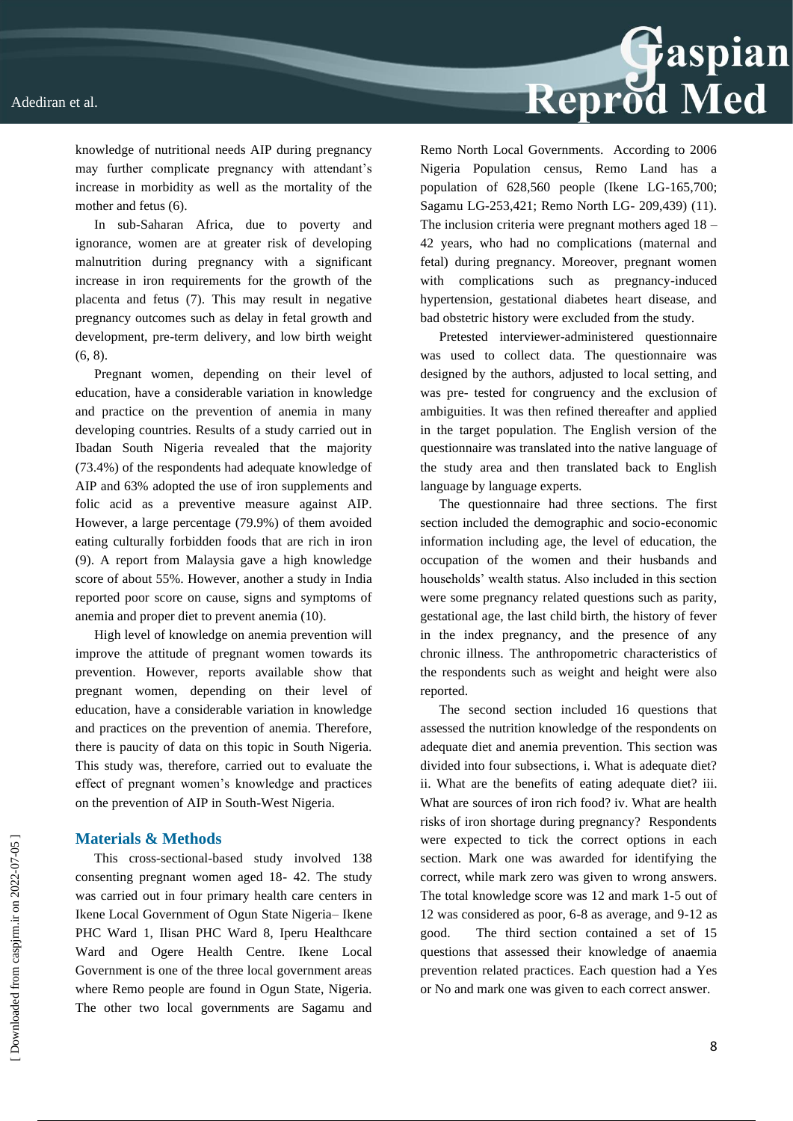

knowledge of nutritional needs AIP during pregnancy may further complicate pregnancy with attendant's increase in morbidity as well as the mortality of the mother and fetus (6).

In sub-Saharan Africa, due to poverty and ignorance, women are at greater risk of developing malnutrition during pregnancy with a significant increase in iron requirements for the growth of the placenta and fetus (7). This may result in negative pregnancy outcomes such as delay in fetal growth and development, pre-term delivery, and low birth weight (6, 8).

Pregnant women, depending on their level of education, have a considerable variation in knowledge and practice on the prevention of anemia in many developing countries. Results of a study carried out in Ibadan South Nigeria revealed that the majority (73.4%) of the respondents had adequate knowledge of AIP and 63% adopted the use of iron supplements and folic acid as a preventive measure against AIP. However, a large percentage (79.9%) of them avoided eating culturally forbidden foods that are rich in iron (9). A report from Malaysia gave a high knowledge score of about 55%. However, another a study in India reported poor score on cause, signs and symptoms of anemia and proper diet to prevent anemia (10).

High level of knowledge on anemia prevention will improve the attitude of pregnant women towards its prevention. However, reports available show that pregnant women, depending on their level of education, have a considerable variation in knowledge and practices on the prevention of anemia. Therefore, there is paucity of data on this topic in South Nigeria. This study was, therefore, carried out to evaluate the effect of pregnant women's knowledge and practices on the prevention of AIP in South-West Nigeria.

#### **Materials & Methods**

This cross-sectional-based study involved 138 consenting pregnant women aged 18- 42. The study was carried out in four primary health care centers in Ikene Local Government of Ogun State Nigeria– Ikene PHC Ward 1, Ilisan PHC Ward 8, Iperu Healthcare Ward and Ogere Health Centre. Ikene Local Government is one of the three local government areas where Remo people are found in Ogun State, Nigeria. The other two local governments are Sagamu and

Remo North Local Governments. According to 2006 Nigeria Population census, Remo Land has a population of 628,560 people (Ikene LG-165,700; Sagamu LG-253,421; Remo North LG- 209,439) (11). The inclusion criteria were pregnant mothers aged 18 – 42 years, who had no complications (maternal and fetal) during pregnancy. Moreover, pregnant women with complications such as pregnancy-induced hypertension, gestational diabetes heart disease, and bad obstetric history were excluded from the study.

Pretested interviewer-administered questionnaire was used to collect data. The questionnaire was designed by the authors, adjusted to local setting, and was pre- tested for congruency and the exclusion of ambiguities. It was then refined thereafter and applied in the target population. The English version of the questionnaire was translated into the native language of the study area and then translated back to English language by language experts.

The questionnaire had three sections. The first section included the demographic and socio-economic information including age, the level of education, the occupation of the women and their husbands and households' wealth status. Also included in this section were some pregnancy related questions such as parity, gestational age, the last child birth, the history of fever in the index pregnancy, and the presence of any chronic illness. The anthropometric characteristics of the respondents such as weight and height were also reported.

The second section included 16 questions that assessed the nutrition knowledge of the respondents on adequate diet and anemia prevention. This section was divided into four subsections, i. What is adequate diet? ii. What are the benefits of eating adequate diet? iii. What are sources of iron rich food? iv. What are health risks of iron shortage during pregnancy? Respondents were expected to tick the correct options in each section. Mark one was awarded for identifying the correct, while mark zero was given to wrong answers. The total knowledge score was 12 and mark 1-5 out of 12 was considered as poor, 6-8 as average, and 9-12 as good. The third section contained a set of 15 questions that assessed their knowledge of anaemia prevention related practices. Each question had a Yes or No and mark one was given to each correct answer.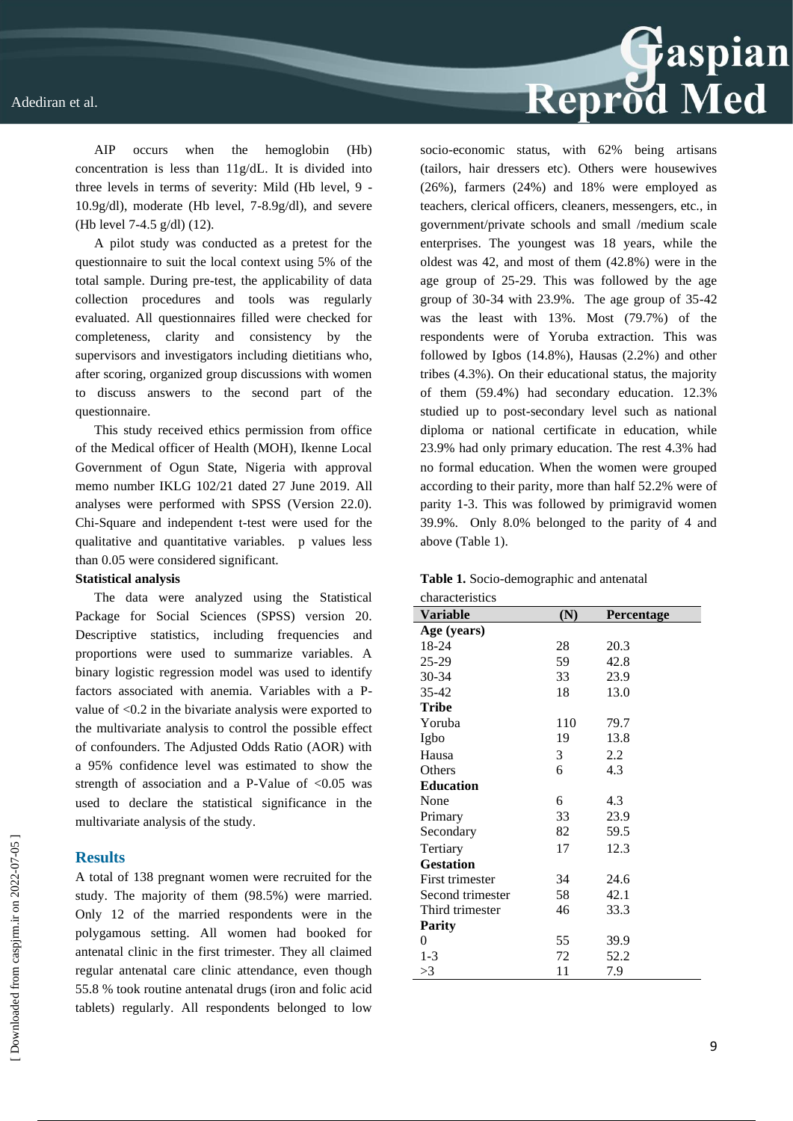

AIP occurs when the hemoglobin (Hb) concentration is less than 11g/dL. It is divided into three levels in terms of severity: Mild (Hb level, 9 - 10.9g/dl), moderate (Hb level, 7-8.9g/dl), and severe (Hb level 7-4.5 g/dl) (12).

A pilot study was conducted as a pretest for the questionnaire to suit the local context using 5% of the total sample. During pre-test, the applicability of data collection procedures and tools was regularly evaluated. All questionnaires filled were checked for completeness, clarity and consistency by the supervisors and investigators including dietitians who, after scoring, organized group discussions with women to discuss answers to the second part of the questionnaire.

This study received ethics permission from office of the Medical officer of Health (MOH), Ikenne Local Government of Ogun State, Nigeria with approval memo number IKLG 102/21 dated 27 June 2019. All analyses were performed with SPSS (Version 22.0). Chi-Square and independent t-test were used for the qualitative and quantitative variables. p values less than 0.05 were considered significant.

#### **Statistical analysis**

The data were analyzed using the Statistical Package for Social Sciences (SPSS) version 20. Descriptive statistics, including frequencies and proportions were used to summarize variables. A binary logistic regression model was used to identify factors associated with anemia. Variables with a Pvalue of <0.2 in the bivariate analysis were exported to the multivariate analysis to control the possible effect of confounders. The Adjusted Odds Ratio (AOR) with a 95% confidence level was estimated to show the strength of association and a P-Value of  $< 0.05$  was used to declare the statistical significance in the multivariate analysis of the study.

#### **Results**

A total of 138 pregnant women were recruited for the study. The majority of them (98.5%) were married. Only 12 of the married respondents were in the polygamous setting. All women had booked for antenatal clinic in the first trimester. They all claimed regular antenatal care clinic attendance, even though 55.8 % took routine antenatal drugs (iron and folic acid tablets) regularly. All respondents belonged to low socio-economic status, with 62% being artisans (tailors, hair dressers etc). Others were housewives (26%), farmers (24%) and 18% were employed as teachers, clerical officers, cleaners, messengers, etc., in government/private schools and small /medium scale enterprises. The youngest was 18 years, while the oldest was 42, and most of them (42.8%) were in the age group of 25-29. This was followed by the age group of 30-34 with 23.9%. The age group of 35-42 was the least with 13%. Most (79.7%) of the respondents were of Yoruba extraction. This was followed by Igbos (14.8%), Hausas (2.2%) and other tribes (4.3%). On their educational status, the majority of them (59.4%) had secondary education. 12.3% studied up to post-secondary level such as national diploma or national certificate in education, while 23.9% had only primary education. The rest 4.3% had no formal education. When the women were grouped according to their parity, more than half 52.2% were of parity 1-3. This was followed by primigravid women 39.9%. Only 8.0% belonged to the parity of 4 and above (Table 1).

| characteristics  |     |                   |
|------------------|-----|-------------------|
| <b>Variable</b>  | (N) | <b>Percentage</b> |
| Age (years)      |     |                   |
| 18-24            | 28  | 20.3              |
| 25-29            | 59  | 42.8              |
| 30-34            | 33  | 23.9              |
| $35 - 42$        | 18  | 13.0              |
| <b>Tribe</b>     |     |                   |
| Yoruba           | 110 | 79.7              |
| Igbo             | 19  | 13.8              |
| Hausa            | 3   | 2.2               |
| Others           | 6   | 4.3               |
| <b>Education</b> |     |                   |
| None             | 6   | 4.3               |
| Primary          | 33  | 23.9              |
| Secondary        | 82  | 59.5              |
| Tertiary         | 17  | 12.3              |
| <b>Gestation</b> |     |                   |
| First trimester  | 34  | 24.6              |
| Second trimester | 58  | 42.1              |
| Third trimester  | 46  | 33.3              |
| <b>Parity</b>    |     |                   |
| 0                | 55  | 39.9              |
| $1 - 3$          | 72  | 52.2              |
| >3               | 11  | 7.9               |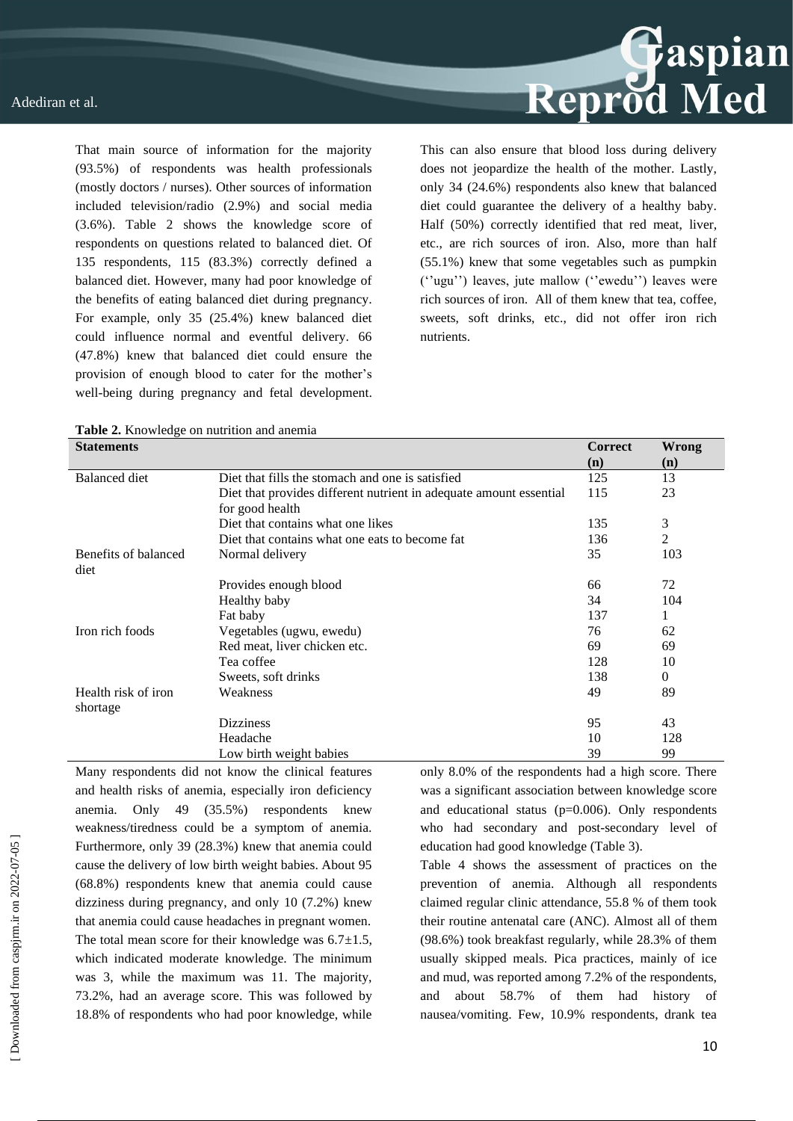That main source of information for the majority (93.5%) of respondents was health professionals (mostly doctors / nurses). Other sources of information included television/radio (2.9%) and social media (3.6%). Table 2 shows the knowledge score of respondents on questions related to balanced diet. Of 135 respondents, 115 (83.3%) correctly defined a balanced diet. However, many had poor knowledge of the benefits of eating balanced diet during pregnancy. For example, only 35 (25.4%) knew balanced diet could influence normal and eventful delivery. 66 (47.8%) knew that balanced diet could ensure the provision of enough blood to cater for the mother's well-being during pregnancy and fetal development. This can also ensure that blood loss during delivery does not jeopardize the health of the mother. Lastly, only 34 (24.6%) respondents also knew that balanced diet could guarantee the delivery of a healthy baby. Half (50%) correctly identified that red meat, liver, etc., are rich sources of iron. Also, more than half (55.1%) knew that some vegetables such as pumpkin (''ugu'') leaves, jute mallow (''ewedu'') leaves were rich sources of iron. All of them knew that tea, coffee, sweets, soft drinks, etc., did not offer iron rich nutrients.

| <b>Statements</b>    |                                                                    | <b>Correct</b> | <b>Wrong</b> |
|----------------------|--------------------------------------------------------------------|----------------|--------------|
|                      |                                                                    | (n)            | (n)          |
| Balanced diet        | Diet that fills the stomach and one is satisfied                   | 125            | 13           |
|                      | Diet that provides different nutrient in adequate amount essential | 115            | 23           |
|                      | for good health                                                    |                |              |
|                      | Diet that contains what one likes                                  | 135            | 3            |
|                      | Diet that contains what one eats to become fat.                    | 136            | 2            |
| Benefits of balanced | Normal delivery                                                    | 35             | 103          |
| diet                 |                                                                    |                |              |
|                      | Provides enough blood                                              | 66             | 72           |
|                      | Healthy baby                                                       | 34             | 104          |
|                      | Fat baby                                                           | 137            | 1            |
| Iron rich foods      | Vegetables (ugwu, ewedu)                                           | 76             | 62           |
|                      | Red meat, liver chicken etc.                                       | 69             | 69           |
|                      | Tea coffee                                                         | 128            | 10           |
|                      | Sweets, soft drinks                                                | 138            | $\theta$     |
| Health risk of iron  | Weakness                                                           | 49             | 89           |
| shortage             |                                                                    |                |              |
|                      | <b>Dizziness</b>                                                   | 95             | 43           |
|                      | Headache                                                           | 10             | 128          |
|                      | Low birth weight babies                                            | 39             | 99           |

Many respondents did not know the clinical features and health risks of anemia, especially iron deficiency anemia. Only 49 (35.5%) respondents knew weakness/tiredness could be a symptom of anemia. Furthermore, only 39 (28.3%) knew that anemia could cause the delivery of low birth weight babies. About 95 (68.8%) respondents knew that anemia could cause dizziness during pregnancy, and only 10 (7.2%) knew that anemia could cause headaches in pregnant women. The total mean score for their knowledge was  $6.7 \pm 1.5$ , which indicated moderate knowledge. The minimum was 3, while the maximum was 11. The majority, 73.2%, had an average score. This was followed by 18.8% of respondents who had poor knowledge, while only 8.0% of the respondents had a high score. There was a significant association between knowledge score and educational status ( $p=0.006$ ). Only respondents who had secondary and post-secondary level of education had good knowledge (Table 3).

Table 4 shows the assessment of practices on the prevention of anemia. Although all respondents claimed regular clinic attendance, 55.8 % of them took their routine antenatal care (ANC). Almost all of them (98.6%) took breakfast regularly, while 28.3% of them usually skipped meals. Pica practices, mainly of ice and mud, was reported among 7.2% of the respondents, and about 58.7% of them had history of nausea/vomiting. Few, 10.9% respondents, drank tea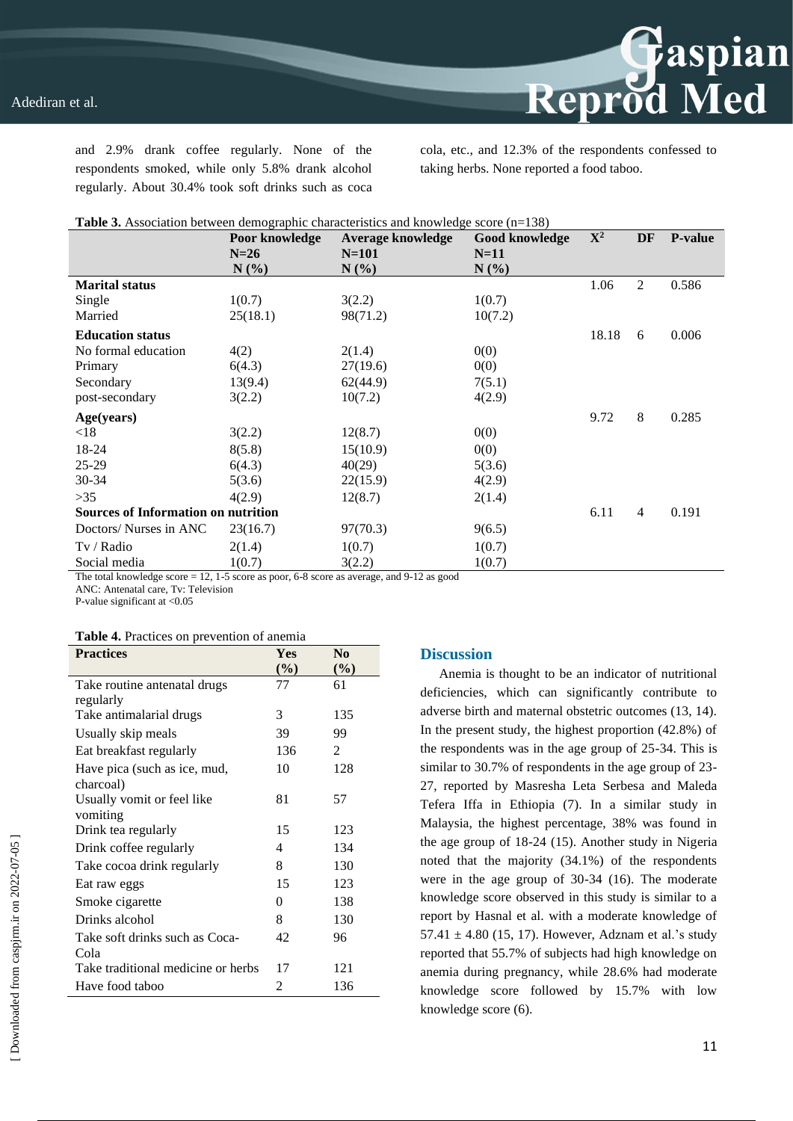and 2.9% drank coffee regularly. None of the respondents smoked, while only 5.8% drank alcohol regularly. About 30.4% took soft drinks such as coca cola, etc., and 12.3% of the respondents confessed to taking herbs. None reported a food taboo.

Reprod Med

| <b>Table 3.</b> Association between demographic characteristics and knowledge score $(n=138)$ |                |                          |                |             |                |                |
|-----------------------------------------------------------------------------------------------|----------------|--------------------------|----------------|-------------|----------------|----------------|
|                                                                                               | Poor knowledge | <b>Average knowledge</b> | Good knowledge | ${\bf X}^2$ | DF             | <b>P-value</b> |
|                                                                                               | $N=26$         | $N=101$                  | $N=11$         |             |                |                |
|                                                                                               | $N(\%)$        | $N(\%)$                  | $N(\%)$        |             |                |                |
| <b>Marital status</b>                                                                         |                |                          |                | 1.06        | $\overline{c}$ | 0.586          |
| Single                                                                                        | 1(0.7)         | 3(2.2)                   | 1(0.7)         |             |                |                |
| Married                                                                                       | 25(18.1)       | 98(71.2)                 | 10(7.2)        |             |                |                |
| <b>Education status</b>                                                                       |                |                          |                | 18.18       | 6              | 0.006          |
| No formal education                                                                           | 4(2)           | 2(1.4)                   | 0(0)           |             |                |                |
| Primary                                                                                       | 6(4.3)         | 27(19.6)                 | 0(0)           |             |                |                |
| Secondary                                                                                     | 13(9.4)        | 62(44.9)                 | 7(5.1)         |             |                |                |
| post-secondary                                                                                | 3(2.2)         | 10(7.2)                  | 4(2.9)         |             |                |                |
| Age(years)                                                                                    |                |                          |                | 9.72        | 8              | 0.285          |
| < 18                                                                                          | 3(2.2)         | 12(8.7)                  | 0(0)           |             |                |                |
| 18-24                                                                                         | 8(5.8)         | 15(10.9)                 | 0(0)           |             |                |                |
| $25 - 29$                                                                                     | 6(4.3)         | 40(29)                   | 5(3.6)         |             |                |                |
| $30 - 34$                                                                                     | 5(3.6)         | 22(15.9)                 | 4(2.9)         |             |                |                |
| $>35$                                                                                         | 4(2.9)         | 12(8.7)                  | 2(1.4)         |             |                |                |
| <b>Sources of Information on nutrition</b>                                                    |                |                          |                | 6.11        | $\overline{4}$ | 0.191          |
| Doctors/ Nurses in ANC                                                                        | 23(16.7)       | 97(70.3)                 | 9(6.5)         |             |                |                |
| Tv / Radio                                                                                    | 2(1.4)         | 1(0.7)                   | 1(0.7)         |             |                |                |
| Social media                                                                                  | 1(0.7)         | 3(2.2)                   | 1(0.7)         |             |                |                |

The total knowledge score = 12, 1-5 score as poor, 6-8 score as average, and 9-12 as good

ANC: Antenatal care, Tv: Television

P-value significant at <0.05

| <b>Practices</b>                   | Yes    | N <sub>0</sub> |
|------------------------------------|--------|----------------|
|                                    | $(\%)$ | $(\%)$         |
| Take routine antenatal drugs       | 77     | 61             |
| regularly                          |        |                |
| Take antimalarial drugs            | 3      | 135            |
| Usually skip meals                 | 39     | 99             |
| Eat breakfast regularly            | 136    | 2              |
| Have pica (such as ice, mud,       | 10     | 128            |
| charcoal)                          |        |                |
| Usually vomit or feel like         | 81     | 57             |
| vomiting                           |        |                |
| Drink tea regularly                | 15     | 123            |
| Drink coffee regularly             | 4      | 134            |
| Take cocoa drink regularly         | 8      | 130            |
| Eat raw eggs                       | 15     | 123            |
| Smoke cigarette                    | 0      | 138            |
| Drinks alcohol                     | 8      | 130            |
| Take soft drinks such as Coca-     | 42     | 96             |
| Cola                               |        |                |
| Take traditional medicine or herbs | 17     | 121            |
| Have food taboo                    | 2      | 136            |

#### **Discussion**

Anemia is thought to be an indicator of nutritional deficiencies, which can significantly contribute to adverse birth and maternal obstetric outcomes (13, 14). In the present study, the highest proportion (42.8%) of the respondents was in the age group of 25-34. This is similar to 30.7% of respondents in the age group of 23- 27, reported by Masresha Leta Serbesa and Maleda Tefera Iffa in Ethiopia (7). In a similar study in Malaysia, the highest percentage, 38% was found in the age group of 18-24 (15). Another study in Nigeria noted that the majority (34.1%) of the respondents were in the age group of 30-34 (16). The moderate knowledge score observed in this study is similar to a report by Hasnal et al. with a moderate knowledge of 57.41  $\pm$  4.80 (15, 17). However, Adznam et al.'s study reported that 55.7% of subjects had high knowledge on anemia during pregnancy, while 28.6% had moderate knowledge score followed by 15.7% with low knowledge score (6).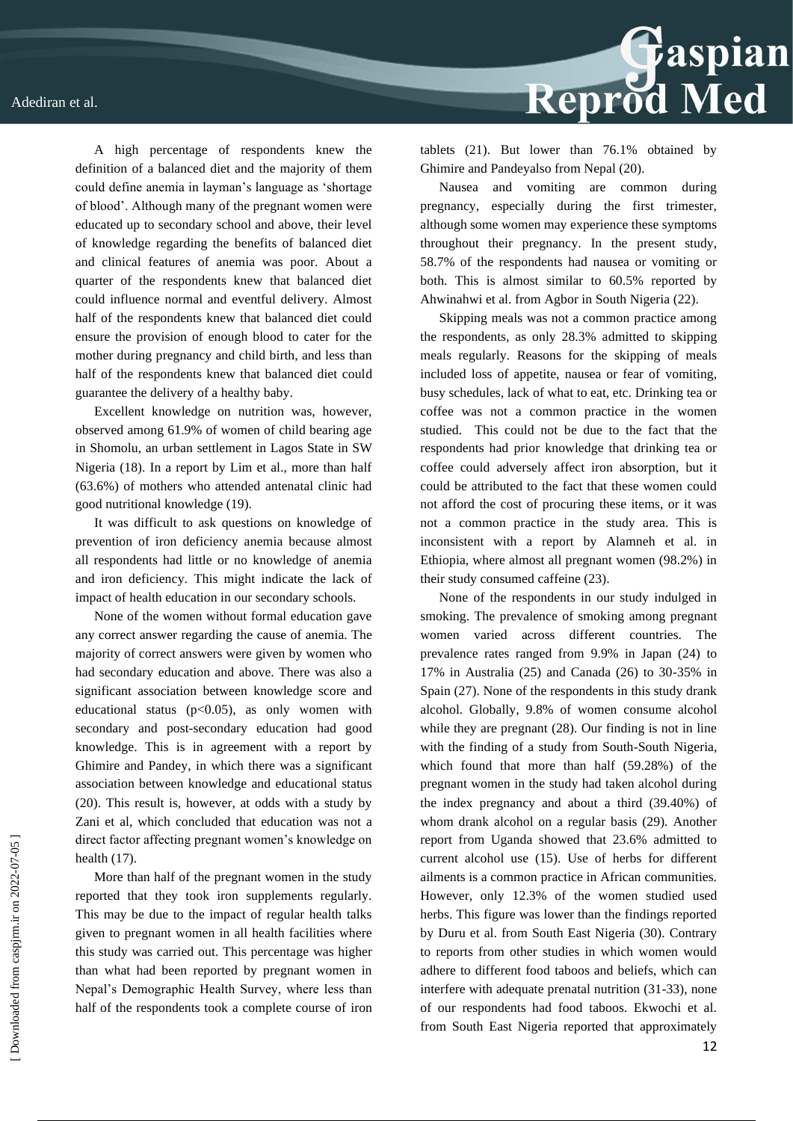

A high percentage of respondents knew the definition of a balanced diet and the majority of them could define anemia in layman's language as 'shortage of blood'. Although many of the pregnant women were educated up to secondary school and above, their level of knowledge regarding the benefits of balanced diet and clinical features of anemia was poor. About a quarter of the respondents knew that balanced diet could influence normal and eventful delivery. Almost half of the respondents knew that balanced diet could ensure the provision of enough blood to cater for the mother during pregnancy and child birth, and less than half of the respondents knew that balanced diet could guarantee the delivery of a healthy baby.

Excellent knowledge on nutrition was, however, observed among 61.9% of women of child bearing age in Shomolu, an urban settlement in Lagos State in SW Nigeria (18). In a report by Lim et al., more than half (63.6%) of mothers who attended antenatal clinic had good nutritional knowledge (19).

It was difficult to ask questions on knowledge of prevention of iron deficiency anemia because almost all respondents had little or no knowledge of anemia and iron deficiency. This might indicate the lack of impact of health education in our secondary schools.

None of the women without formal education gave any correct answer regarding the cause of anemia. The majority of correct answers were given by women who had secondary education and above. There was also a significant association between knowledge score and educational status  $(p<0.05)$ , as only women with secondary and post-secondary education had good knowledge. This is in agreement with a report by Ghimire and Pandey, in which there was a significant association between knowledge and educational status (20). This result is, however, at odds with a study by Zani et al, which concluded that education was not a direct factor affecting pregnant women's knowledge on health (17).

More than half of the pregnant women in the study reported that they took iron supplements regularly. This may be due to the impact of regular health talks given to pregnant women in all health facilities where this study was carried out. This percentage was higher than what had been reported by pregnant women in Nepal's Demographic Health Survey, where less than half of the respondents took a complete course of iron tablets (21). But lower than 76.1% obtained by Ghimire and Pandeyalso from Nepal (20).

Nausea and vomiting are common during pregnancy, especially during the first trimester, although some women may experience these symptoms throughout their pregnancy. In the present study, 58.7% of the respondents had nausea or vomiting or both. This is almost similar to 60.5% reported by Ahwinahwi et al. from Agbor in South Nigeria (22).

Skipping meals was not a common practice among the respondents, as only 28.3% admitted to skipping meals regularly. Reasons for the skipping of meals included loss of appetite, nausea or fear of vomiting, busy schedules, lack of what to eat, etc. Drinking tea or coffee was not a common practice in the women studied. This could not be due to the fact that the respondents had prior knowledge that drinking tea or coffee could adversely affect iron absorption, but it could be attributed to the fact that these women could not afford the cost of procuring these items, or it was not a common practice in the study area. This is inconsistent with a report by Alamneh et al. in Ethiopia, where almost all pregnant women (98.2%) in their study consumed caffeine (23).

None of the respondents in our study indulged in smoking. The prevalence of smoking among pregnant women varied across different countries. The prevalence rates ranged from 9.9% in Japan (24) to 17% in Australia (25) and Canada (26) to 30-35% in Spain (27). None of the respondents in this study drank alcohol. Globally, 9.8% of women consume alcohol while they are pregnant (28). Our finding is not in line with the finding of a study from South-South Nigeria, which found that more than half (59.28%) of the pregnant women in the study had taken alcohol during the index pregnancy and about a third (39.40%) of whom drank alcohol on a regular basis (29). Another report from Uganda showed that 23.6% admitted to current alcohol use (15). Use of herbs for different ailments is a common practice in African communities. However, only 12.3% of the women studied used herbs. This figure was lower than the findings reported by Duru et al. from South East Nigeria (30). Contrary to reports from other studies in which women would adhere to different food taboos and beliefs, which can interfere with adequate prenatal nutrition (31-33), none of our respondents had food taboos. Ekwochi et al. from South East Nigeria reported that approximately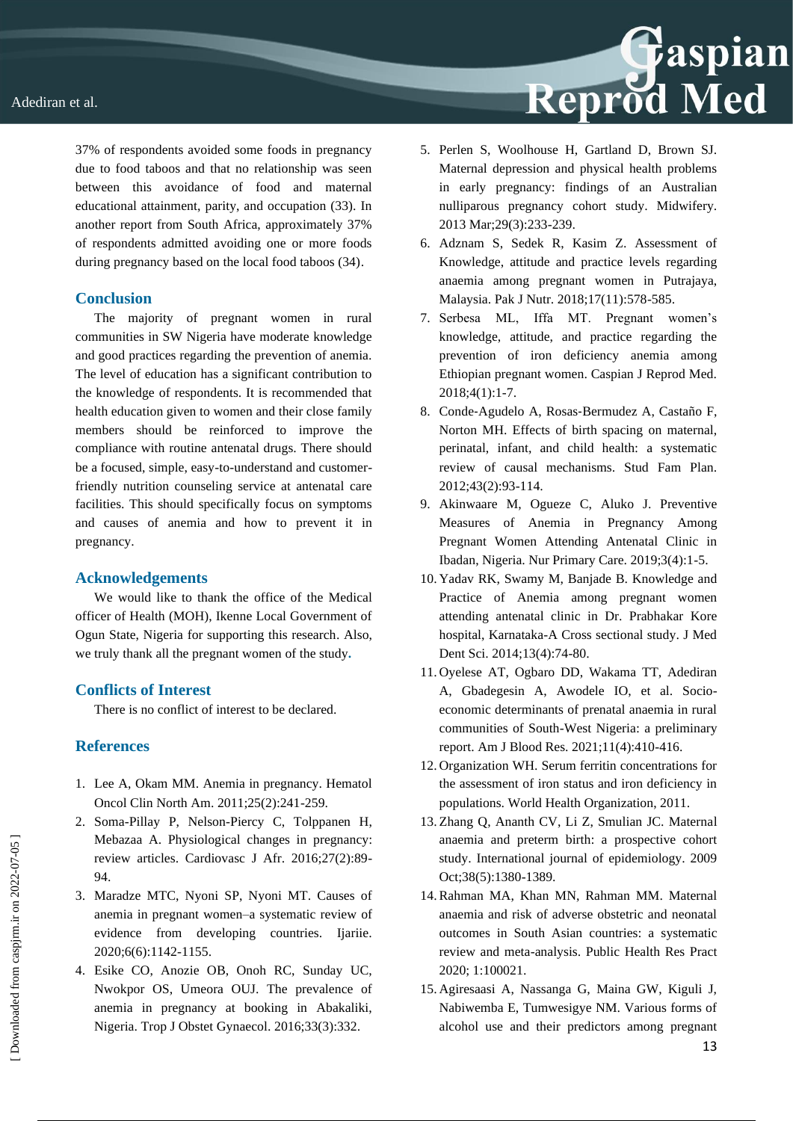

37% of respondents avoided some foods in pregnancy due to food taboos and that no relationship was seen between this avoidance of food and maternal educational attainment, parity, and occupation (33). In another report from South Africa, approximately 37% of respondents admitted avoiding one or more foods during pregnancy based on the local food taboos (34).

#### **Conclusion**

The majority of pregnant women in rural communities in SW Nigeria have moderate knowledge and good practices regarding the prevention of anemia. The level of education has a significant contribution to the knowledge of respondents. It is recommended that health education given to women and their close family members should be reinforced to improve the compliance with routine antenatal drugs. There should be a focused, simple, easy-to-understand and customerfriendly nutrition counseling service at antenatal care facilities. This should specifically focus on symptoms and causes of anemia and how to prevent it in pregnancy.

#### **Acknowledgements**

We would like to thank the office of the Medical officer of Health (MOH), Ikenne Local Government of Ogun State, Nigeria for supporting this research. Also, we truly thank all the pregnant women of the study**.**

### **Conflicts of Interest**

There is no conflict of interest to be declared.

### **References**

- 1. Lee A, Okam MM. Anemia in pregnancy. Hematol Oncol Clin North Am. 2011;25(2):241-259.
- 2. Soma-Pillay P, Nelson-Piercy C, Tolppanen H, Mebazaa A. Physiological changes in pregnancy: review articles. Cardiovasc J Afr. 2016;27(2):89- 94.
- 3. Maradze MTC, Nyoni SP, Nyoni MT. Causes of anemia in pregnant women–a systematic review of evidence from developing countries. Ijariie. 2020;6(6):1142-1155.
- 4. Esike CO, Anozie OB, Onoh RC, Sunday UC, Nwokpor OS, Umeora OUJ. The prevalence of anemia in pregnancy at booking in Abakaliki, Nigeria. Trop J Obstet Gynaecol. 2016;33(3):332.

5. Perlen S, Woolhouse H, Gartland D, Brown SJ. Maternal depression and physical health problems in early pregnancy: findings of an Australian nulliparous pregnancy cohort study. Midwifery. 2013 Mar;29(3):233-239.

**Reprod Med** 

- 6. Adznam S, Sedek R, Kasim Z. Assessment of Knowledge, attitude and practice levels regarding anaemia among pregnant women in Putrajaya, Malaysia. Pak J Nutr. 2018;17(11):578-585.
- 7. Serbesa ML, Iffa MT. Pregnant women's knowledge, attitude, and practice regarding the prevention of iron deficiency anemia among Ethiopian pregnant women. Caspian J Reprod Med. 2018;4(1):1-7.
- 8. Conde‐Agudelo A, Rosas‐Bermudez A, Castaño F, Norton MH. Effects of birth spacing on maternal, perinatal, infant, and child health: a systematic review of causal mechanisms. Stud Fam Plan. 2012;43(2):93-114.
- 9. Akinwaare M, Ogueze C, Aluko J. Preventive Measures of Anemia in Pregnancy Among Pregnant Women Attending Antenatal Clinic in Ibadan, Nigeria. Nur Primary Care. 2019;3(4):1-5.
- 10. Yadav RK, Swamy M, Banjade B. Knowledge and Practice of Anemia among pregnant women attending antenatal clinic in Dr. Prabhakar Kore hospital, Karnataka-A Cross sectional study. J Med Dent Sci. 2014;13(4):74-80.
- 11. Oyelese AT, Ogbaro DD, Wakama TT, Adediran A, Gbadegesin A, Awodele IO, et al. Socioeconomic determinants of prenatal anaemia in rural communities of South-West Nigeria: a preliminary report. Am J Blood Res. 2021;11(4):410-416.
- 12. Organization WH. Serum ferritin concentrations for the assessment of iron status and iron deficiency in populations. World Health Organization, 2011.
- 13. Zhang Q, Ananth CV, Li Z, Smulian JC. Maternal anaemia and preterm birth: a prospective cohort study. International journal of epidemiology. 2009 Oct;38(5):1380-1389.
- 14.Rahman MA, Khan MN, Rahman MM. Maternal anaemia and risk of adverse obstetric and neonatal outcomes in South Asian countries: a systematic review and meta-analysis. Public Health Res Pract 2020; 1:100021.
- 15. Agiresaasi A, Nassanga G, Maina GW, Kiguli J, Nabiwemba E, Tumwesigye NM. Various forms of alcohol use and their predictors among pregnant